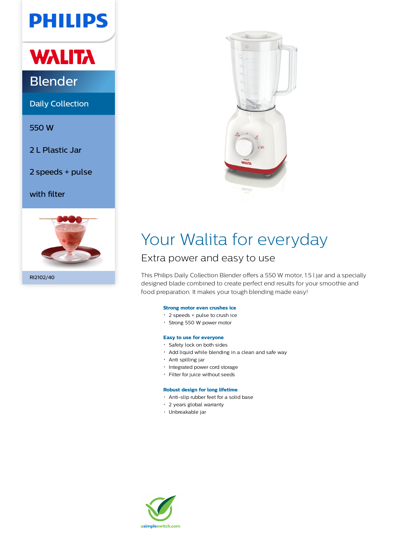# **PHILIPS**

# **WALITA**

### Blender

Daily Collection

550 W

2 L Plastic Jar

2 speeds + pulse

with filter



RI2102/40



## Your Walita for everyday

### Extra power and easy to use

This Philips Daily Collection Blender offers a 550 W motor, 1.5 l jar and a specially designed blade combined to create perfect end results for your smoothie and food preparation. It makes your tough blending made easy!

#### **Strong motor even crushes ice**

- 2 speeds + pulse to crush ice
- Strong 550 W power motor

#### **Easy to use for everyone**

- Safety lock on both sides
- Add liquid while blending in a clean and safe way
- Anti spilling jar
- Integrated power cord storage
- Filter for juice without seeds

#### **Robust design for long lifetime**

- Anti-slip rubber feet for a solid base
- 2 years global warranty
- Unbreakable jar

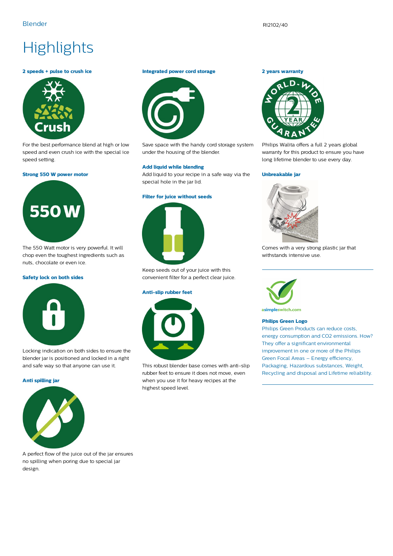### **Highlights**

#### **2 speeds + pulse to crush ice**



For the best performance blend at high or low speed and even crush ice with the special ice speed setting.

#### **Strong 550 W power motor**



The 550 Watt motor is very powerful. It will chop even the toughest ingredients such as nuts, chocolate or even ice.

#### **Safety lock on both sides**



Locking indication on both sides to ensure the blender jar is positioned and locked in a right and safe way so that anyone can use it.

#### **Anti spilling jar**



A perfect flow of the juice out of the jar ensures no spilling when poring due to special jar design.

#### **Integrated power cord storage**



Save space with the handy cord storage system under the housing of the blender.

#### **Add liquid while blending**

Add liquid to your recipe in a safe way via the special hole in the jar lid.

#### **Filter for juice without seeds**



Keep seeds out of your juice with this convenient filter for a perfect clear juice.

#### **Anti-slip rubber feet**



This robust blender base comes with anti-slip rubber feet to ensure it does not move, even when you use it for heavy recipes at the highest speed level.





Philips Walita offers a full 2 years global warranty for this product to ensure you have long lifetime blender to use every day.

#### **Unbreakable jar**



Comes with a very strong plastic jar that withstands intensive use.



asimpleswitch.com

#### **Philips Green Logo**

Philips Green Products can reduce costs, energy consumption and CO2 emissions. How? They offer a significant environmental improvement in one or more of the Philips Green Focal Areas – Energy efficiency, Packaging, Hazardous substances, Weight, Recycling and disposal and Lifetime reliability.